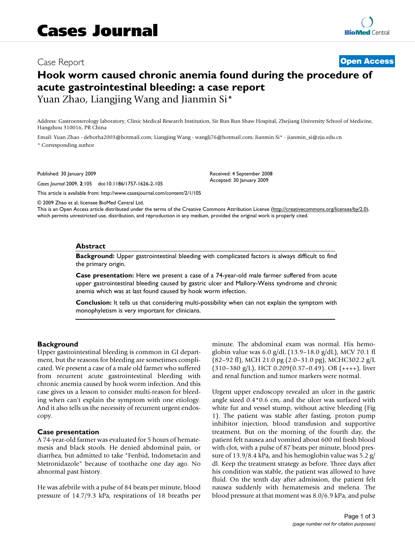## Case Report **[Open Access](http://www.biomedcentral.com/info/about/charter/)**

# **Hook worm caused chronic anemia found during the procedure of acute gastrointestinal bleeding: a case report** Yuan Zhao, Liangjing Wang and Jianmin Si\*

Address: Gastroenterology laboratory, Clinic Medical Research Institution, Sir Run Run Shaw Hospital, Zhejiang University School of Medicine, Hangzhou 310016, PR China

Email: Yuan Zhao - deborha2003@hotmail.com; Liangjing Wang - wanglj76@hotmail.com; Jianmin Si\* - jianmin\_si@zju.edu.cn \* Corresponding author

Published: 30 January 2009

*Cases Journal* 2009, **2**:105 doi:10.1186/1757-1626-2-105

[This article is available from: http://www.casesjournal.com/content/2/1/105](http://www.casesjournal.com/content/2/1/105)

Received: 4 September 2008 Accepted: 30 January 2009

© 2009 Zhao et al; licensee BioMed Central Ltd.

This is an Open Access article distributed under the terms of the Creative Commons Attribution License [\(http://creativecommons.org/licenses/by/2.0\)](http://creativecommons.org/licenses/by/2.0), which permits unrestricted use, distribution, and reproduction in any medium, provided the original work is properly cited.

#### **Abstract**

**Background:** Upper gastrointestinal bleeding with complicated factors is always difficult to find the primary origin.

**Case presentation:** Here we present a case of a 74-year-old male farmer suffered from acute upper gastrointestinal bleeding caused by gastric ulcer and Mallory-Weiss syndrome and chronic anemia which was at last found caused by hook worm infection.

**Conclusion:** It tells us that considering multi-possibility when can not explain the symptom with monophyletism is very important for clinicians.

#### **Background**

Upper gastrointestinal bleeding is common in GI department, but the reasons for bleeding are sometimes complicated. We present a case of a male old farmer who suffered from recurrent acute gastrointestinal bleeding with chronic anemia caused by hook worm infection. And this case gives us a lesson to consider multi-reason for bleeding when can't explain the symptom with one etiology. And it also tells us the necessity of recurrent urgent endoscopy.

### **Case presentation**

A 74-year-old farmer was evaluated for 5 hours of hematemesis and black stools. He denied abdominal pain, or diarrhea, but admitted to take "Fenbid, Indometacin and Metronidazole" because of toothache one day ago. No abnormal past history.

He was afebrile with a pulse of 84 beats per minute, blood pressure of 14.7/9.3 kPa, respirations of 18 breaths per minute. The abdominal exam was normal. His hemoglobin value was  $6.0$  g/dL  $(13.9-18.0$  g/dL), MCV 70.1 fl (82–92 fl), MCH 21.0 pg (2.0–31.0 pg), MCHC302.2 g/L  $(310-380 \text{ g/L})$ , HCT 0.209 $(0.37-0.49)$ . OB  $(+++)$ , liver and renal function and tumor markers were normal.

Urgent upper endoscopy revealed an ulcer in the gastric angle sized 0.4\*0.6 cm, and the ulcer was surfaced with white fur and vessel stump, without active bleeding (Fig 1). The patient was stable after fasting, proton pump inhibitor injection, blood transfusion and supportive treatment. But on the morning of the fourth day, the patient felt nausea and vomited about 600 ml fresh blood with clot, with a pulse of 87 beats per minute, blood pressure of 13.9/8.4 kPa, and his hemoglobin value was 5.2 g/ dl. Keep the treatment strategy as before. Three days after his condition was stable, the patient was allowed to have fluid. On the tenth day after admission, the patient felt nausea suddenly with hematemesis and melena. The blood pressure at that moment was 8.0/6.9 kPa, and pulse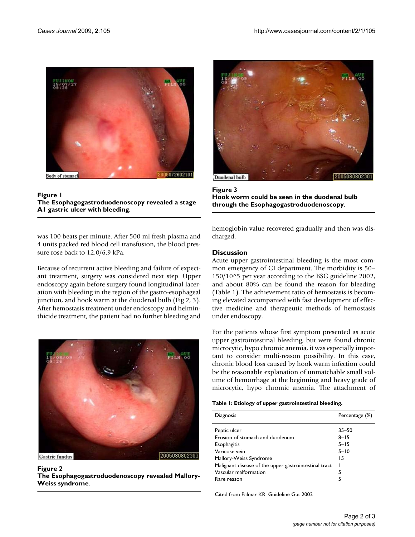

Figure 1 **The Esophagogastroduodenoscopy revealed a stage A1 gastric ulcer with bleeding**.

was 100 beats per minute. After 500 ml fresh plasma and 4 units packed red blood cell transfusion, the blood pressure rose back to 12.0/6.9 kPa.

Because of recurrent active bleeding and failure of expectant treatment, surgery was considered next step. Upper endoscopy again before surgery found longitudinal laceration with bleeding in the region of the gastro-esophageal junction, and hook warm at the duodenal bulb (Fig 2, 3). After hemostasis treatment under endoscopy and helminthicide treatment, the patient had no further bleeding and



Figure 2 **The Esophagogastroduodenoscopy revealed Mallory-Weiss syndrome**.



**Figure 3 Hook worm could be seen in the duodenal bulb through the Esophagogastroduodenoscopy**.

hemoglobin value recovered gradually and then was discharged.

## **Discussion**

Acute upper gastrointestinal bleeding is the most common emergency of GI department. The morbidity is 50– 150/10^5 per year according to the BSG guideline 2002, and about 80% can be found the reason for bleeding (Table 1). The achievement ratio of hemostasis is becoming elevated accompanied with fast development of effective medicine and therapeutic methods of hemostasis under endoscopy.

For the patients whose first symptom presented as acute upper gastrointestinal bleeding, but were found chronic microcytic, hypo chromic anemia, it was especially important to consider multi-reason possibility. In this case, chronic blood loss caused by hook warm infection could be the reasonable explanation of unmatchable small volume of hemorrhage at the beginning and heavy grade of microcytic, hypo chromic anemia. The attachment of

#### **Table 1: Etiology of upper gastrointestinal bleeding.**

| Diagnosis                                             | Percentage (%) |
|-------------------------------------------------------|----------------|
| Peptic ulcer                                          | $35 - 50$      |
| Erosion of stomach and duodenum                       | $8 - 15$       |
| Esophagitis                                           | $5 - 15$       |
| Varicose vein                                         | $5 - 10$       |
| Mallory-Weiss Syndrome                                | 15             |
| Malignant disease of the upper gastrointestinal tract |                |
| Vascular malformation                                 | 5              |
| Rare reason                                           | 5              |

Cited from Palmar KR. Guideline Gut 2002